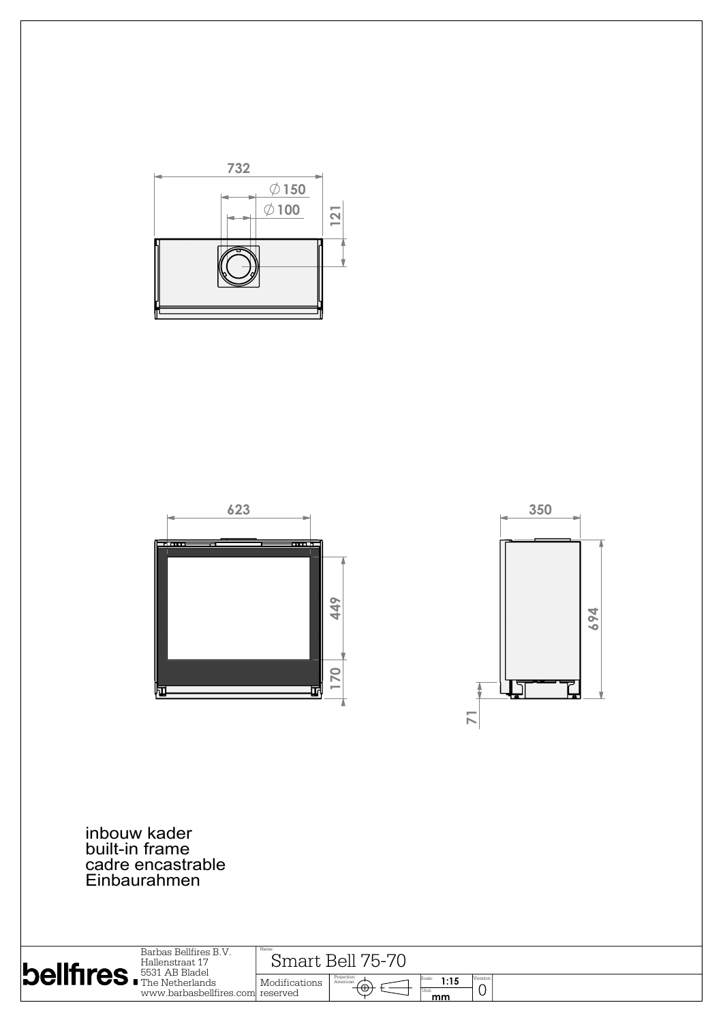





inbouw kader built-in frame cadre encastrable Einbaurahmen

| Barbas Bellfires B.V.             |                                   | Name:         |                                           |                     |               |  |
|-----------------------------------|-----------------------------------|---------------|-------------------------------------------|---------------------|---------------|--|
| Hallenstraat 17                   |                                   | $h_{-}$       |                                           |                     |               |  |
| $\vert$ bellfires. F531 AB Bladel |                                   | KAII          |                                           |                     |               |  |
|                                   | www.barbasbellfires.coml reserved | Modifications | Projection:<br>American<br><del>(O)</del> | 1:15<br>Unit:<br>mm | Version:<br>ັ |  |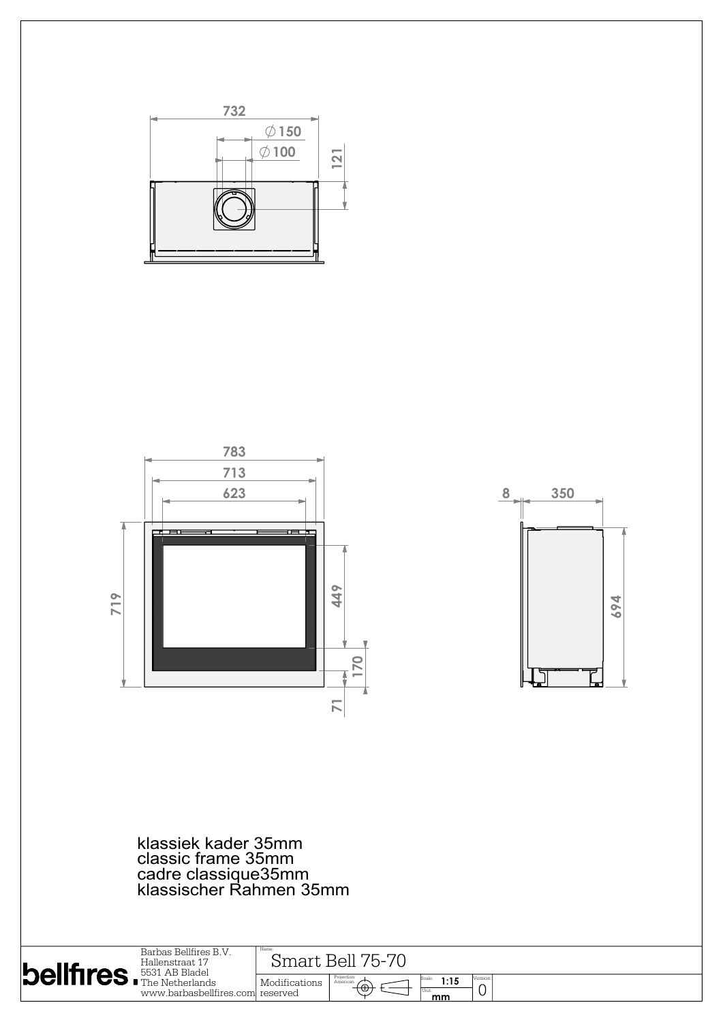





klassiek kader 35mm classic frame 35mm cadre classique35mm klassischer Rahmen 35mm

| $\left $ bellfires. $F_{\text{The Netherlands}}^{\text{Hallenstraat 17}}\right $ | Barbas Bellfires B.V.<br>Hallenstraat 17<br>www.barbasbellfires.com reserved | Name<br>Smart Bell 75-70 |                                                     |      |          |  |  |
|----------------------------------------------------------------------------------|------------------------------------------------------------------------------|--------------------------|-----------------------------------------------------|------|----------|--|--|
|                                                                                  |                                                                              | Modifications            | Projection:<br>American<br>$+\oplus$<br>Unit:<br>mm | 1:15 | Version: |  |  |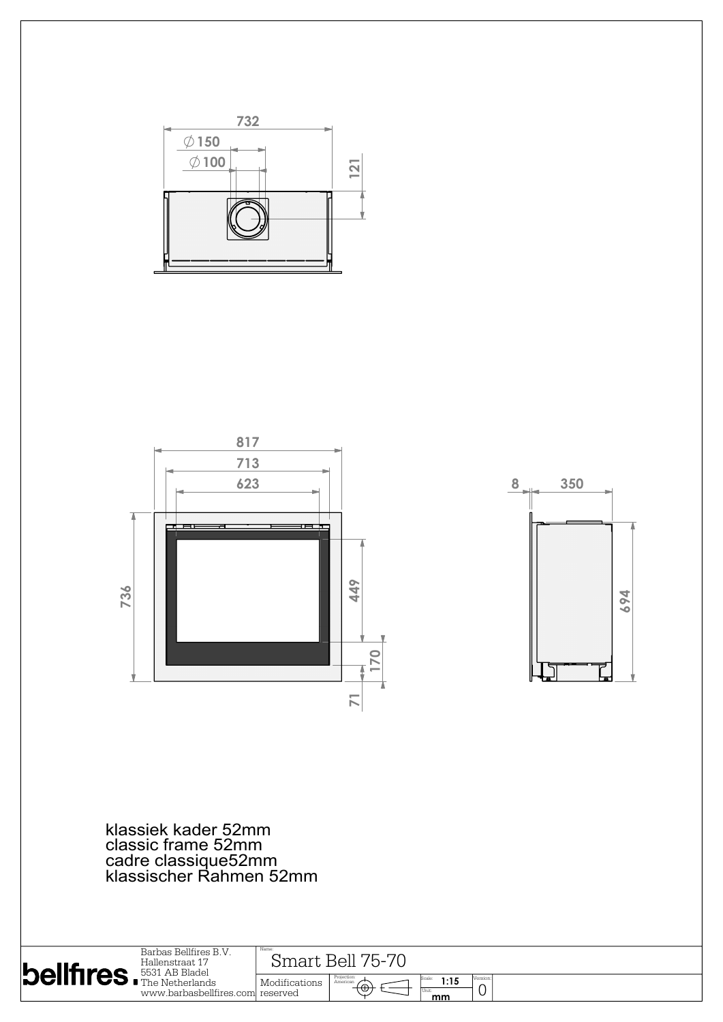





klassiek kader 52mm classic frame 52mm cadre classique52mm klassischer Rahmen 52mm

|                                    |                                                                               | Name:                  |                                      |                     |          |  |  |
|------------------------------------|-------------------------------------------------------------------------------|------------------------|--------------------------------------|---------------------|----------|--|--|
| <b>belifires</b> . Final AB Bladel | Barbas Bellfires B.V.<br>Hallenstraat 17<br>www.barbasbellfires.coml reserved | 75-7<br>Bell<br>imart. |                                      |                     |          |  |  |
|                                    |                                                                               | Modifications          | Projection:<br>American<br>$+\oplus$ | 1:15<br>Unit:<br>mm | Version: |  |  |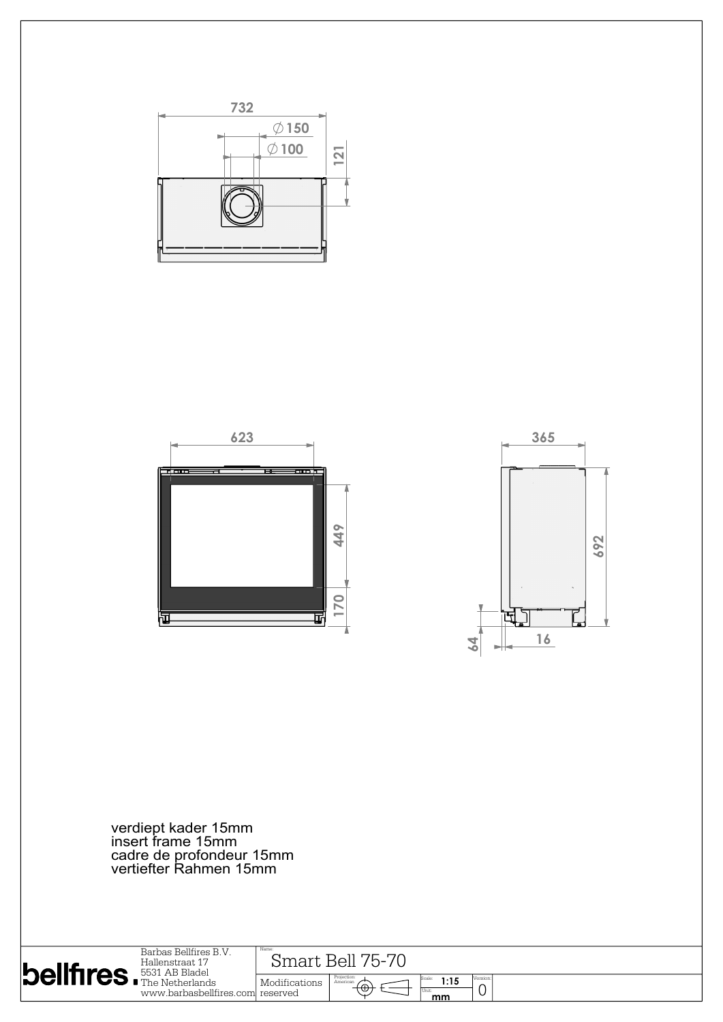





verdiept kader 15mm insert frame 15mm cadre de profondeur 15mm vertiefter Rahmen 15mm

| Barbas Bellfires B.V.<br>Hallenstraat 17<br>$ \mathsf{Dell}$ if $\mathsf{res}$ . $^{5531\text{ AB Black}}$ | Name:<br>Bell<br>′トー<br>smart.   |               |                                    |                      |               |
|------------------------------------------------------------------------------------------------------------|----------------------------------|---------------|------------------------------------|----------------------|---------------|
|                                                                                                            | www.barbasbellfires.com reserved | Modifications | Projection:<br>American<br>⊥்<br>ড | 1:15<br>l Unit<br>mm | Version:<br>╰ |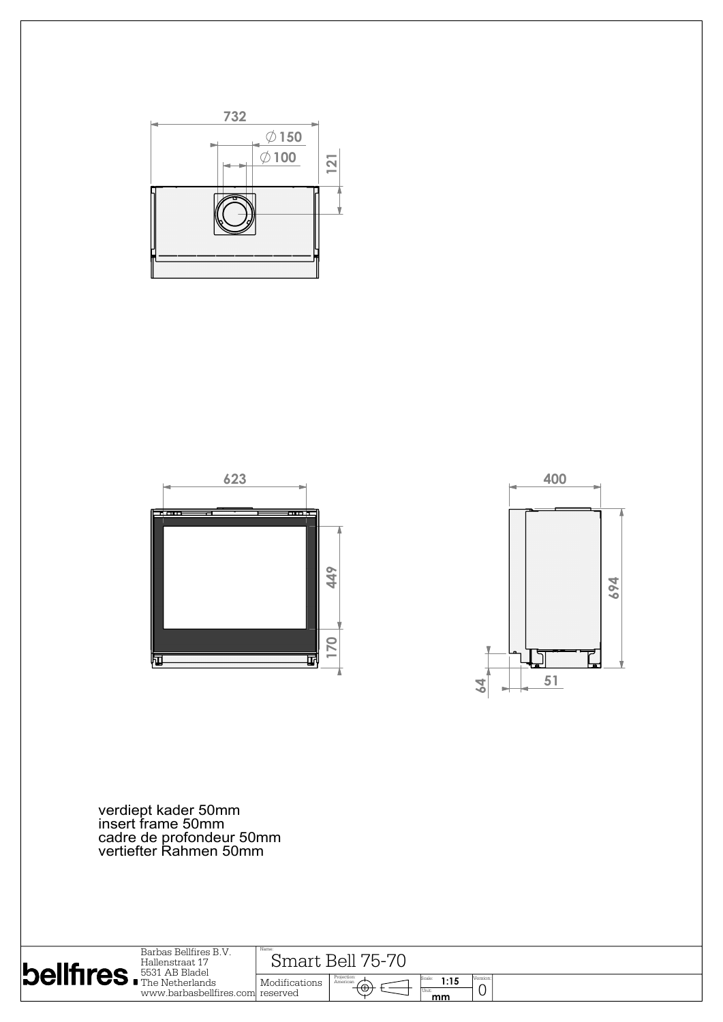





verdiept kader 50mm insert frame 50mm cadre de profondeur 50mm vertiefter Rahmen 50mm